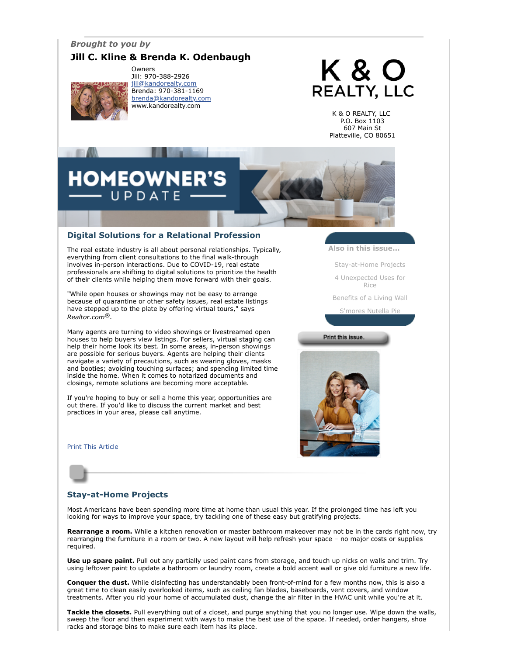#### *Brought to you by*

## **Jill C. Kline & Brenda K. Odenbaugh**



Owners Jill: 970-388-2926 [jill@kandorealty.com](mailto:jill@kandorealty.com) Brenda: 970-381-1169 [brenda@kandorealty.com](mailto:brenda@kandorealty.com) www.kandorealty.com

# **K&O REALTY, LLC**

K & O REALTY, LLC P.O. Box 1103 607 Main St Platteville, CO 80651

# **HOMEOWNER'S** UPDATE

#### **Digital Solutions for a Relational Profession**

The real estate industry is all about personal relationships. Typically, everything from client consultations to the final walk-through involves in-person interactions. Due to COVID-19, real estate professionals are shifting to digital solutions to prioritize the health of their clients while helping them move forward with their goals.

"While open houses or showings may not be easy to arrange because of quarantine or other safety issues, real estate listings have stepped up to the plate by offering virtual tours," says *Realtor.com®.* 

Many agents are turning to video showings or livestreamed open houses to help buyers view listings. For sellers, virtual staging can help their home look its best. In some areas, in-person showings are possible for serious buyers. Agents are helping their clients navigate a variety of precautions, such as wearing gloves, masks and booties; avoiding touching surfaces; and spending limited time inside the home. When it comes to notarized documents and closings, remote solutions are becoming more acceptable.

If you're hoping to buy or sell a home this year, opportunities are out there. If you'd like to discuss the current market and best practices in your area, please call anytime.

**[Print This Article](javascript:print();)** 

**Also in this issue...**

[Stay-at-Home Projects](#page-0-0)

[4 Unexpected Uses for](#page-1-0) Rice

[Benefits of a Living Wall](#page-1-1)

[S'mores Nutella Pie](#page-1-2)

Print this issue.



#### <span id="page-0-0"></span>**Stay-at-Home Projects**

Most Americans have been spending more time at home than usual this year. If the prolonged time has left you looking for ways to improve your space, try tackling one of these easy but gratifying projects.

**Rearrange a room.** While a kitchen renovation or master bathroom makeover may not be in the cards right now, try rearranging the furniture in a room or two. A new layout will help refresh your space – no major costs or supplies required.

**Use up spare paint.** Pull out any partially used paint cans from storage, and touch up nicks on walls and trim. Try using leftover paint to update a bathroom or laundry room, create a bold accent wall or give old furniture a new life.

**Conquer the dust.** While disinfecting has understandably been front-of-mind for a few months now, this is also a great time to clean easily overlooked items, such as ceiling fan blades, baseboards, vent covers, and window treatments. After you rid your home of accumulated dust, change the air filter in the HVAC unit while you're at it.

**Tackle the closets.** Pull everything out of a closet, and purge anything that you no longer use. Wipe down the walls, sweep the floor and then experiment with ways to make the best use of the space. If needed, order hangers, shoe racks and storage bins to make sure each item has its place.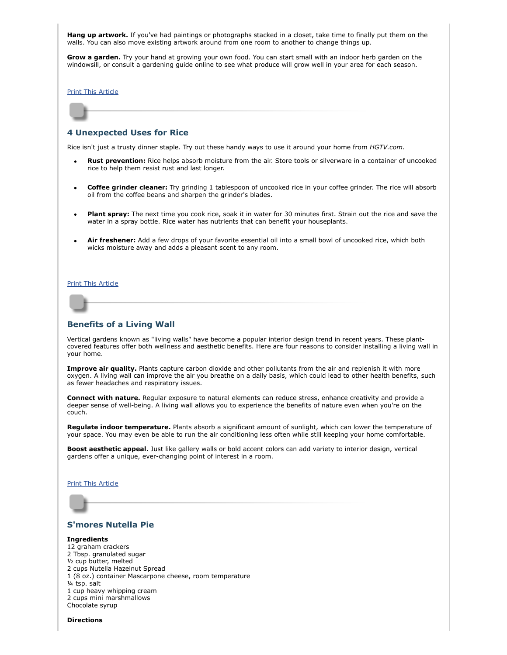**Hang up artwork.** If you've had paintings or photographs stacked in a closet, take time to finally put them on the walls. You can also move existing artwork around from one room to another to change things up.

**Grow a garden.** Try your hand at growing your own food. You can start small with an indoor herb garden on the windowsill, or consult a gardening guide online to see what produce will grow well in your area for each season.

[Print This Article](javascript:print();)

#### <span id="page-1-0"></span>**4 Unexpected Uses for Rice**

Rice isn't just a trusty dinner staple. Try out these handy ways to use it around your home from *HGTV.com.*

- **Rust prevention:** Rice helps absorb moisture from the air. Store tools or silverware in a container of uncooked rice to help them resist rust and last longer.
- **Coffee grinder cleaner:** Try grinding 1 tablespoon of uncooked rice in your coffee grinder. The rice will absorb oil from the coffee beans and sharpen the grinder's blades.
- **Plant spray:** The next time you cook rice, soak it in water for 30 minutes first. Strain out the rice and save the water in a spray bottle. Rice water has nutrients that can benefit your houseplants.
- **Air freshener:** Add a few drops of your favorite essential oil into a small bowl of uncooked rice, which both wicks moisture away and adds a pleasant scent to any room.

[Print This Article](javascript:print();)

#### <span id="page-1-1"></span>**Benefits of a Living Wall**

Vertical gardens known as "living walls" have become a popular interior design trend in recent years. These plantcovered features offer both wellness and aesthetic benefits. Here are four reasons to consider installing a living wall in your home.

**Improve air quality.** Plants capture carbon dioxide and other pollutants from the air and replenish it with more oxygen. A living wall can improve the air you breathe on a daily basis, which could lead to other health benefits, such as fewer headaches and respiratory issues.

**Connect with nature.** Regular exposure to natural elements can reduce stress, enhance creativity and provide a deeper sense of well-being. A living wall allows you to experience the benefits of nature even when you're on the couch.

**Regulate indoor temperature.** Plants absorb a significant amount of sunlight, which can lower the temperature of your space. You may even be able to run the air conditioning less often while still keeping your home comfortable.

**Boost aesthetic appeal.** Just like gallery walls or bold accent colors can add variety to interior design, vertical gardens offer a unique, ever-changing point of interest in a room.

#### [Print This Article](javascript:print();)



### <span id="page-1-2"></span>**S'mores Nutella Pie**

**Ingredients** 12 graham crackers 2 Tbsp. granulated sugar ½ cup butter, melted 2 cups Nutella Hazelnut Spread 1 (8 oz.) container Mascarpone cheese, room temperature ¼ tsp. salt 1 cup heavy whipping cream 2 cups mini marshmallows Chocolate syrup

**Directions**